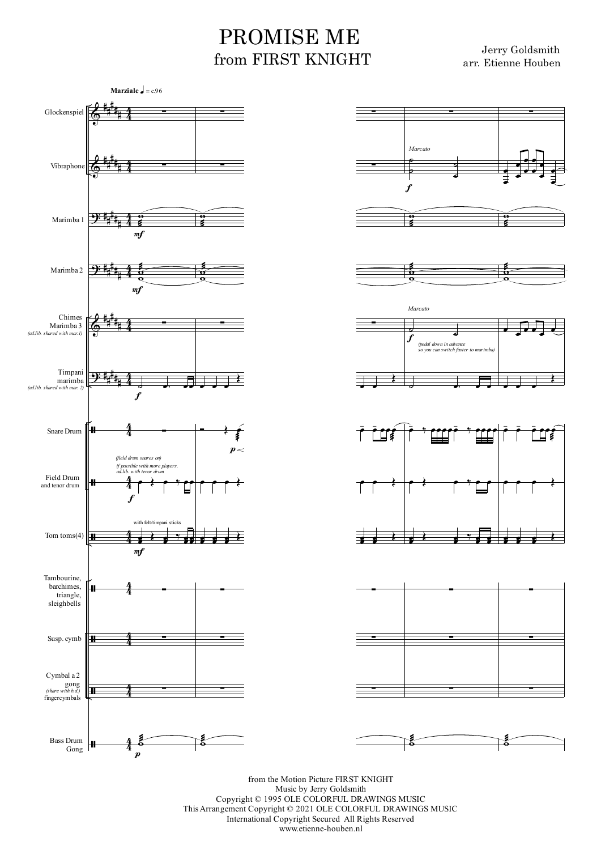## PROMISE ME from FIRST KNIGHT arr. Etienne Houben

Jerry Goldsmith







from the Motion Picture FIRST KNIGHT Music by Jerry Goldsmith Copyright © 1995 OLE COLORFUL DRAWINGS MUSIC ThisArrangement Copyright © 2021 OLE COLORFUL DRAWINGS MUSIC International Copyright Secured All Rights Reserved www.etienne-houben.nl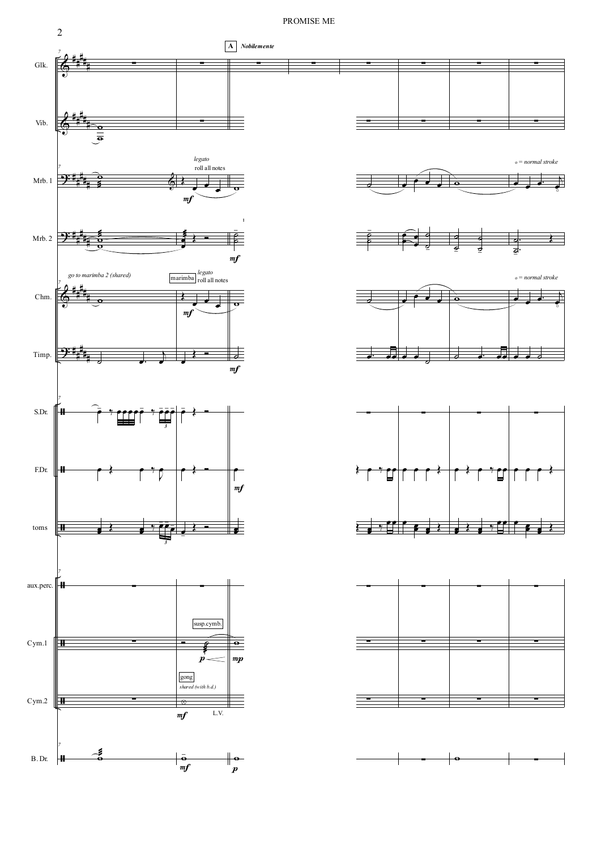PROMISE ME

 $\frac{1}{\sqrt{2}}$ 

 $\Rightarrow$ ν

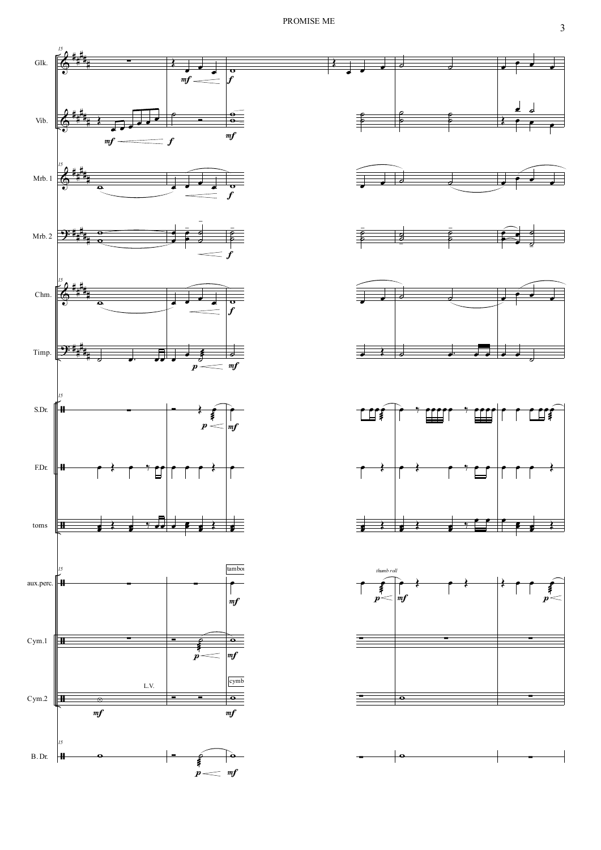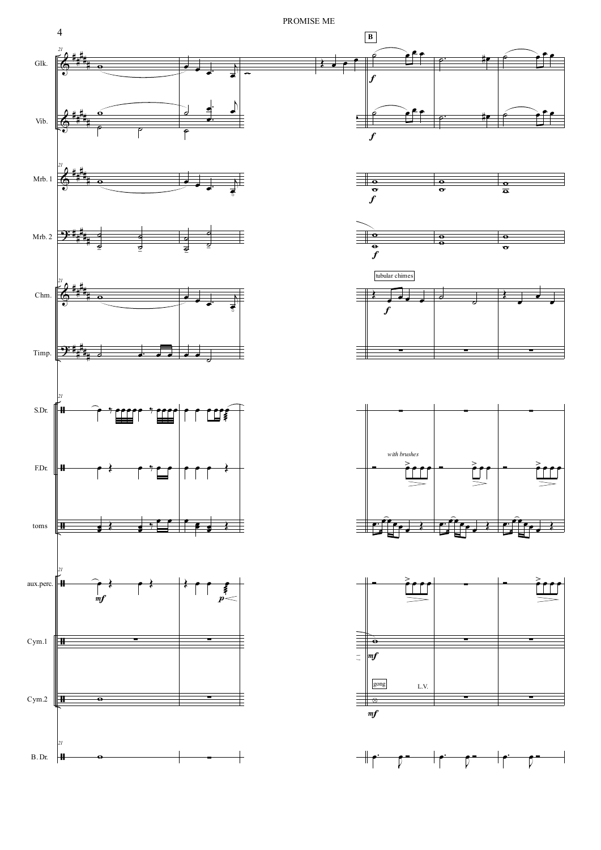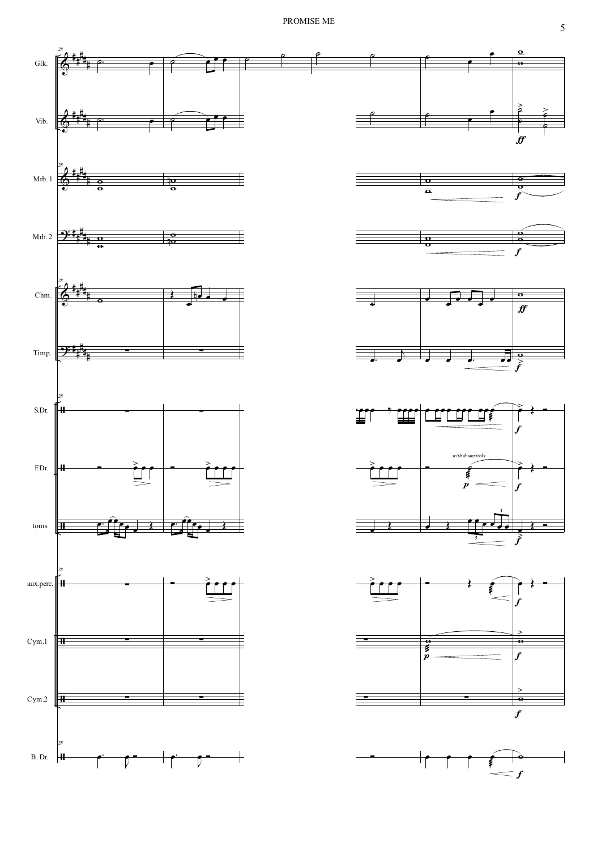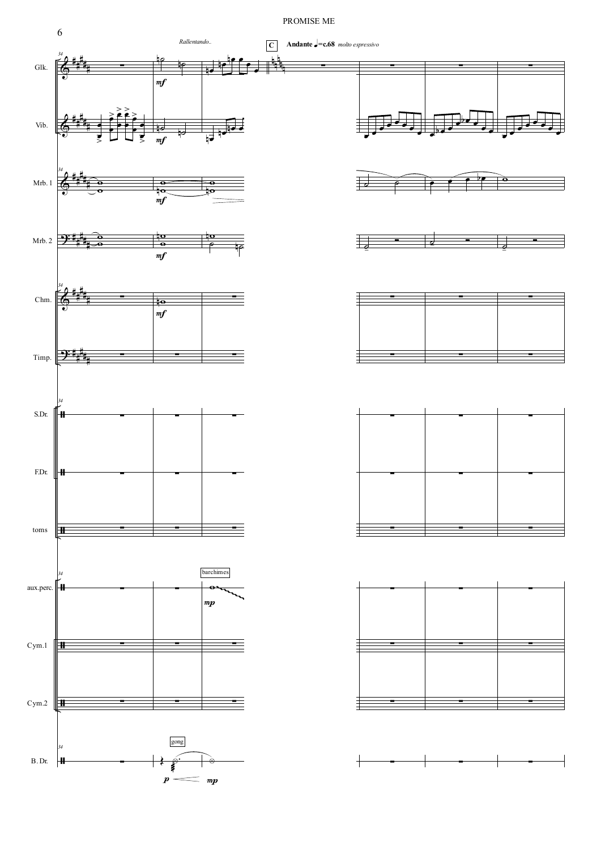## PROMISE ME

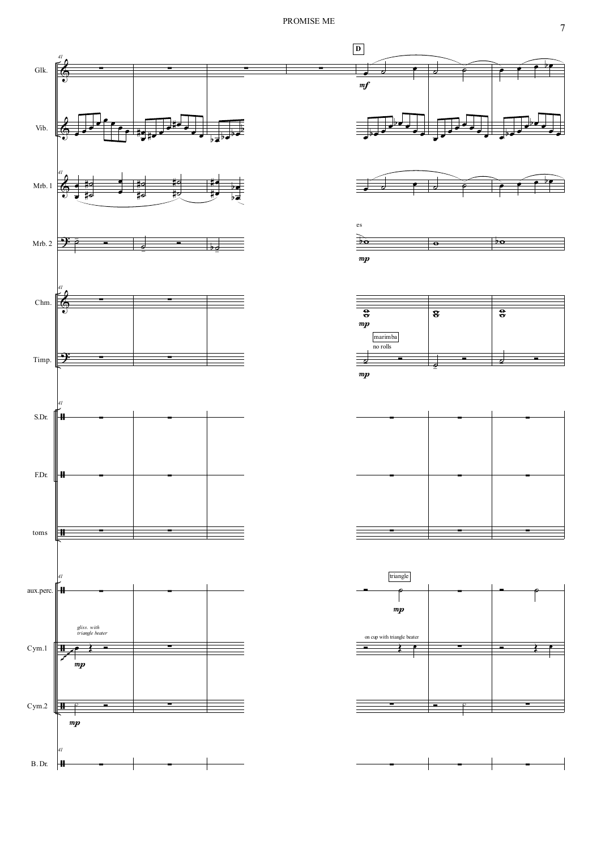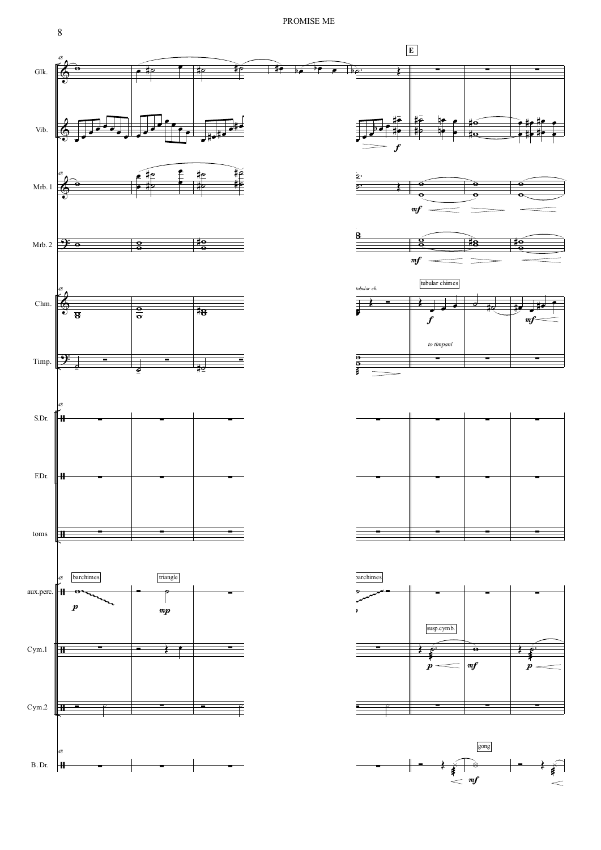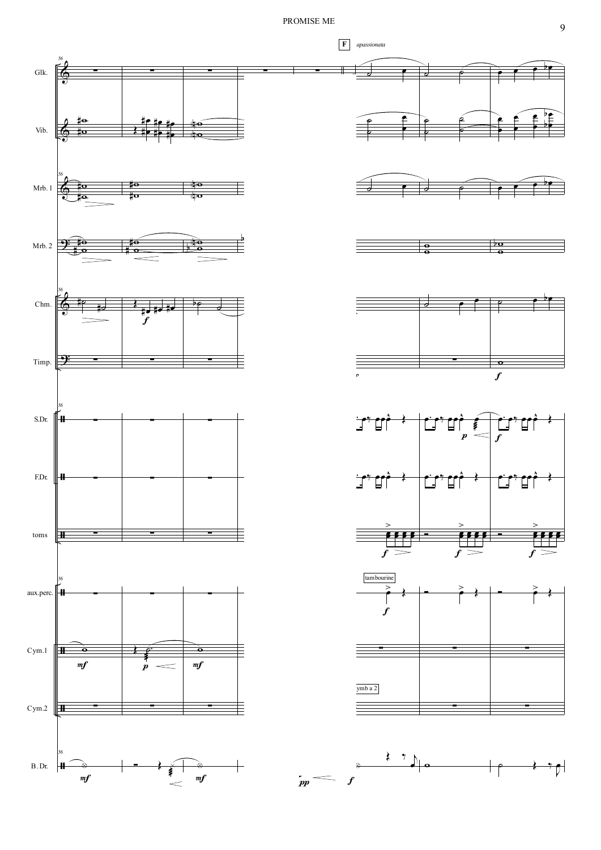

œ αœ α

> œ œ œ œ

> > Ι œ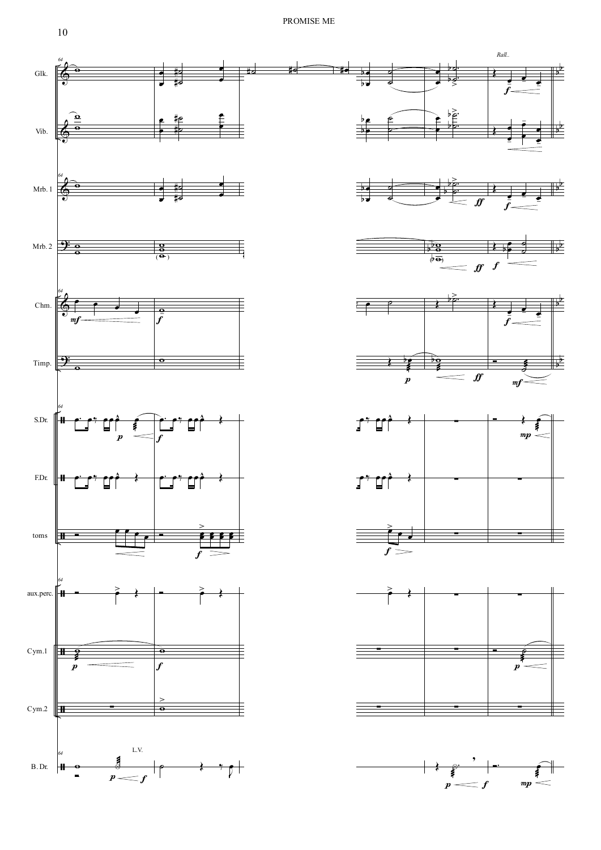

α α

α α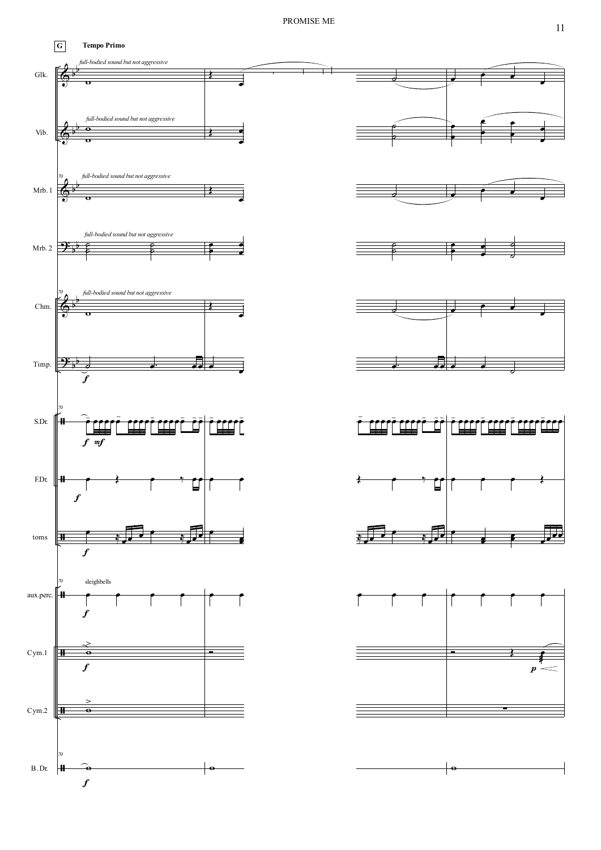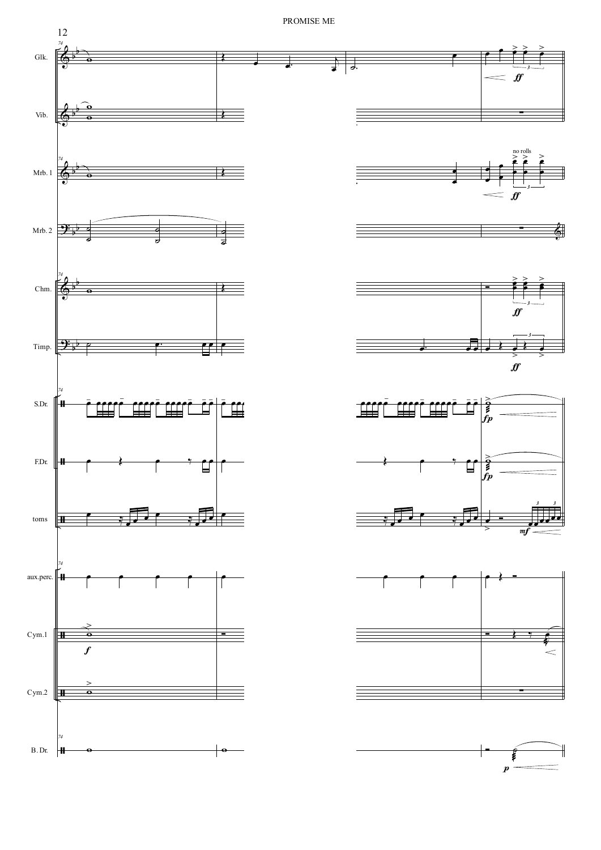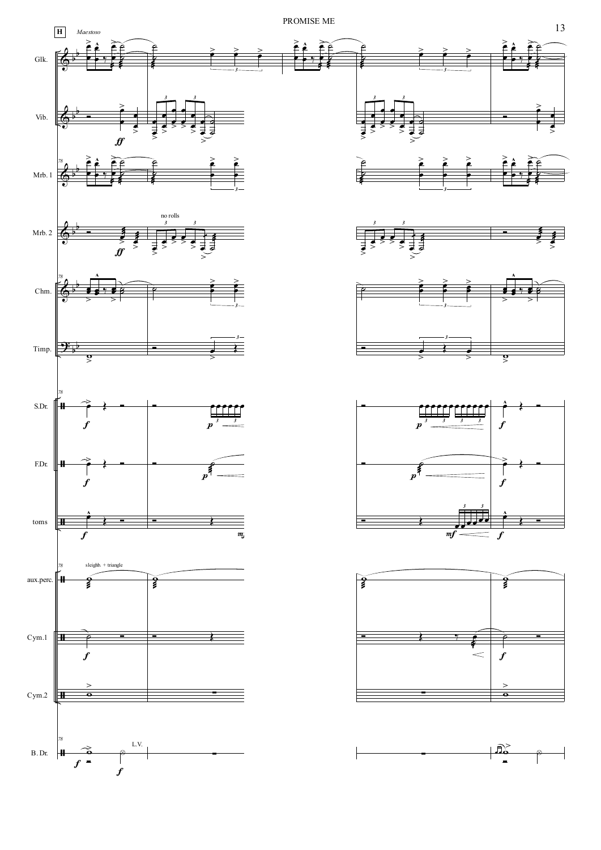

13